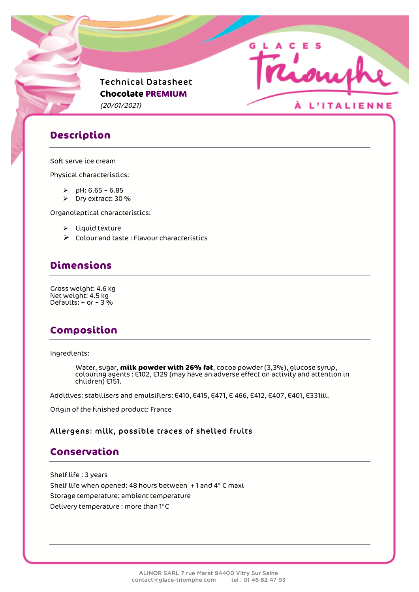

## **Description**

#### Soft serve ice cream

Physical characteristics:

- $P$  pH: 6.65 6.85
- Ø Dry extract: 30 %

Organoleptical characteristics:

- $\triangleright$  Liquid texture
- $\triangleright$  Colour and taste : Flavour characteristics

# **Dimensions**

Gross weight: 4.6 kg Net weight: 4.5 kg Defaults:  $+$  or  $-$  3 %

# **Composition**

Ingredients:

Water, sugar, **milk powder with 26% fat**, cocoa powder (3,3%), glucose syrup, colouring agents : E102, E129 (may have an adverse effect on activity and attention in children) E151.

Additives: stabilisers and emulsifiers: E410, E415, E471, E 466, E412, E407, E401, E331iii.

Origin of the finished product: France

#### Allergens: milk, possible traces of shelled fruits

### **Conservation**

Shelf life : 3 years Shelf life when opened: 48 hours between + 1 and 4° C maxi Storage temperature: ambient temperature Delivery temperature : more than 1°C